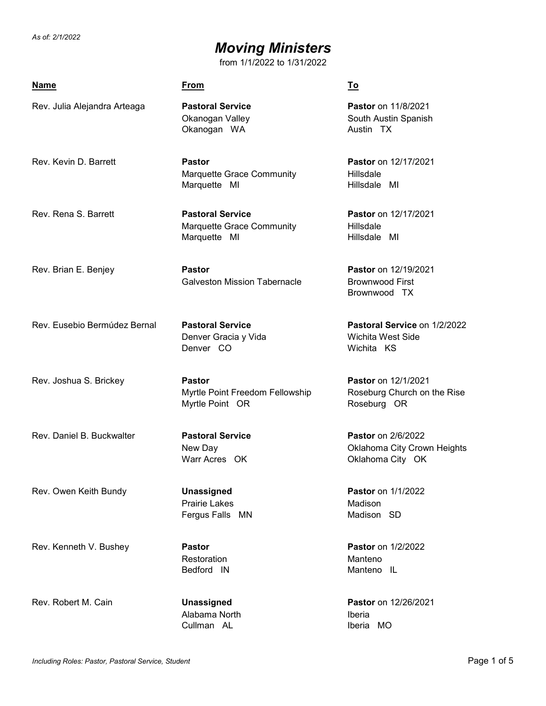### *Moving Ministers*

| <b>Name</b>                  | <b>From</b>                                                          | <u>To</u>                                                                    |
|------------------------------|----------------------------------------------------------------------|------------------------------------------------------------------------------|
| Rev. Julia Alejandra Arteaga | <b>Pastoral Service</b><br>Okanogan Valley<br>Okanogan WA            | <b>Pastor</b> on 11/8/2021<br>South Austin Spanish<br>Austin TX              |
| Rev. Kevin D. Barrett        | <b>Pastor</b><br>Marquette Grace Community<br>Marquette MI           | Pastor on 12/17/2021<br>Hillsdale<br>Hillsdale MI                            |
| Rev. Rena S. Barrett         | <b>Pastoral Service</b><br>Marquette Grace Community<br>Marquette MI | Pastor on 12/17/2021<br>Hillsdale<br>Hillsdale MI                            |
| Rev. Brian E. Benjey         | <b>Pastor</b><br><b>Galveston Mission Tabernacle</b>                 | Pastor on 12/19/2021<br><b>Brownwood First</b><br>Brownwood TX               |
| Rev. Eusebio Bermúdez Bernal | <b>Pastoral Service</b><br>Denver Gracia y Vida<br>Denver CO         | Pastoral Service on 1/2/2022<br>Wichita West Side<br>Wichita KS              |
| Rev. Joshua S. Brickey       | <b>Pastor</b><br>Myrtle Point Freedom Fellowship<br>Myrtle Point OR  | Pastor on 12/1/2021<br>Roseburg Church on the Rise<br>Roseburg OR            |
| Rev. Daniel B. Buckwalter    | <b>Pastoral Service</b><br>New Day<br>Warr Acres OK                  | <b>Pastor</b> on 2/6/2022<br>Oklahoma City Crown Heights<br>Oklahoma City OK |
| Rev. Owen Keith Bundy        | <b>Unassigned</b><br><b>Prairie Lakes</b><br>Fergus Falls MN         | <b>Pastor</b> on 1/1/2022<br>Madison<br>Madison SD                           |
| Rev. Kenneth V. Bushey       | <b>Pastor</b><br>Restoration<br>Bedford IN                           | <b>Pastor</b> on 1/2/2022<br>Manteno<br>Manteno IL                           |
| Rev. Robert M. Cain          | Unassigned<br>Alabama North<br>Cullman AL                            | <b>Pastor</b> on 12/26/2021<br>Iberia<br>Iberia MO                           |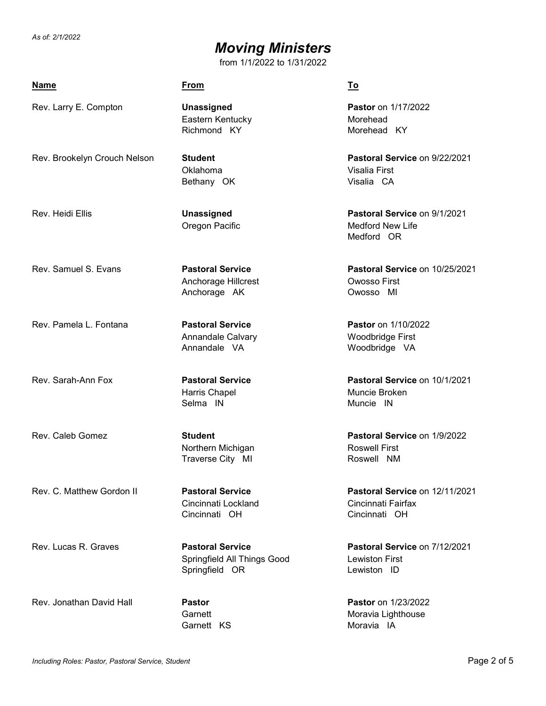### *Moving Ministers*

| <u>Name</u>                  | <b>From</b>                                                              | <u>To</u>                                                             |
|------------------------------|--------------------------------------------------------------------------|-----------------------------------------------------------------------|
| Rev. Larry E. Compton        | <b>Unassigned</b><br>Eastern Kentucky<br>Richmond KY                     | Pastor on 1/17/2022<br>Morehead<br>Morehead KY                        |
| Rev. Brookelyn Crouch Nelson | <b>Student</b><br>Oklahoma<br>Bethany OK                                 | Pastoral Service on 9/22/2021<br>Visalia First<br>Visalia CA          |
| Rev. Heidi Ellis             | <b>Unassigned</b><br>Oregon Pacific                                      | Pastoral Service on 9/1/2021<br><b>Medford New Life</b><br>Medford OR |
| Rev. Samuel S. Evans         | <b>Pastoral Service</b><br>Anchorage Hillcrest<br>Anchorage AK           | Pastoral Service on 10/25/2021<br>Owosso First<br>Owosso MI           |
| Rev. Pamela L. Fontana       | <b>Pastoral Service</b><br>Annandale Calvary<br>Annandale VA             | <b>Pastor</b> on 1/10/2022<br>Woodbridge First<br>Woodbridge VA       |
| Rev. Sarah-Ann Fox           | <b>Pastoral Service</b><br>Harris Chapel<br>Selma IN                     | Pastoral Service on 10/1/2021<br>Muncie Broken<br>Muncie IN           |
| Rev. Caleb Gomez             | <b>Student</b><br>Northern Michigan<br>Traverse City MI                  | Pastoral Service on 1/9/2022<br><b>Roswell First</b><br>Roswell NM    |
| Rev. C. Matthew Gordon II    | <b>Pastoral Service</b><br>Cincinnati Lockland<br>Cincinnati OH          | Pastoral Service on 12/11/2021<br>Cincinnati Fairfax<br>Cincinnati OH |
| Rev. Lucas R. Graves         | <b>Pastoral Service</b><br>Springfield All Things Good<br>Springfield OR | Pastoral Service on 7/12/2021<br><b>Lewiston First</b><br>Lewiston ID |
| Rev. Jonathan David Hall     | <b>Pastor</b><br>Garnett<br>Garnett KS                                   | <b>Pastor</b> on 1/23/2022<br>Moravia Lighthouse<br>Moravia IA        |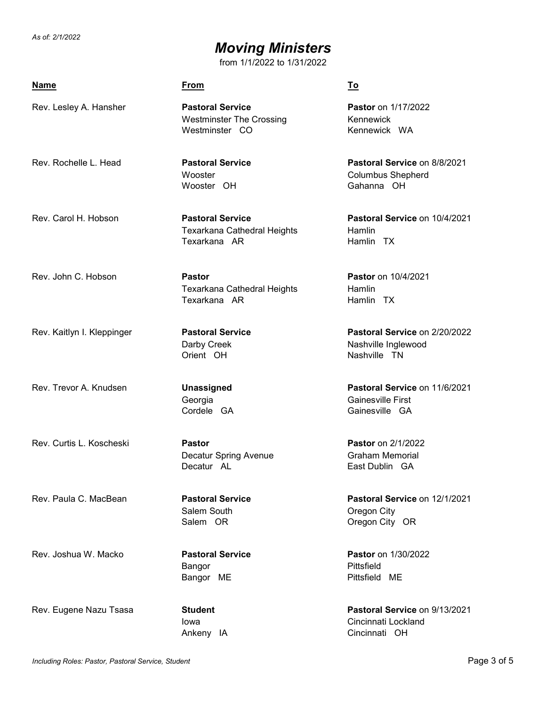### *Moving Ministers*

| <b>Name</b>                | <b>From</b>                                                                  | <u>To</u>                                                              |
|----------------------------|------------------------------------------------------------------------------|------------------------------------------------------------------------|
| Rev. Lesley A. Hansher     | <b>Pastoral Service</b><br><b>Westminster The Crossing</b><br>Westminster CO | Pastor on 1/17/2022<br>Kennewick<br>Kennewick WA                       |
| Rev. Rochelle L. Head      | <b>Pastoral Service</b><br>Wooster<br>Wooster OH                             | Pastoral Service on 8/8/2021<br><b>Columbus Shepherd</b><br>Gahanna OH |
| Rev. Carol H. Hobson       | <b>Pastoral Service</b><br>Texarkana Cathedral Heights<br>Texarkana AR       | Pastoral Service on 10/4/2021<br>Hamlin<br>Hamlin TX                   |
| Rev. John C. Hobson        | <b>Pastor</b><br>Texarkana Cathedral Heights<br>Texarkana AR                 | <b>Pastor</b> on 10/4/2021<br>Hamlin<br>Hamlin TX                      |
| Rev. Kaitlyn I. Kleppinger | <b>Pastoral Service</b><br>Darby Creek<br>Orient OH                          | Pastoral Service on 2/20/2022<br>Nashville Inglewood<br>Nashville TN   |
| Rev. Trevor A. Knudsen     | Unassigned<br>Georgia<br>Cordele GA                                          | Pastoral Service on 11/6/2021<br>Gainesville First<br>Gainesville GA   |
| Rev. Curtis L. Koscheski   | <b>Pastor</b><br>Decatur Spring Avenue<br>Decatur AL                         | Pastor on 2/1/2022<br><b>Graham Memorial</b><br>East Dublin GA         |
| Rev. Paula C. MacBean      | <b>Pastoral Service</b><br>Salem South<br>Salem OR                           | Pastoral Service on 12/1/2021<br>Oregon City<br>Oregon City OR         |
| Rev. Joshua W. Macko       | <b>Pastoral Service</b><br>Bangor<br>Bangor ME                               | Pastor on 1/30/2022<br>Pittsfield<br>Pittsfield ME                     |
| Rev. Eugene Nazu Tsasa     | <b>Student</b><br>lowa<br>Ankeny IA                                          | Pastoral Service on 9/13/2021<br>Cincinnati Lockland<br>Cincinnati OH  |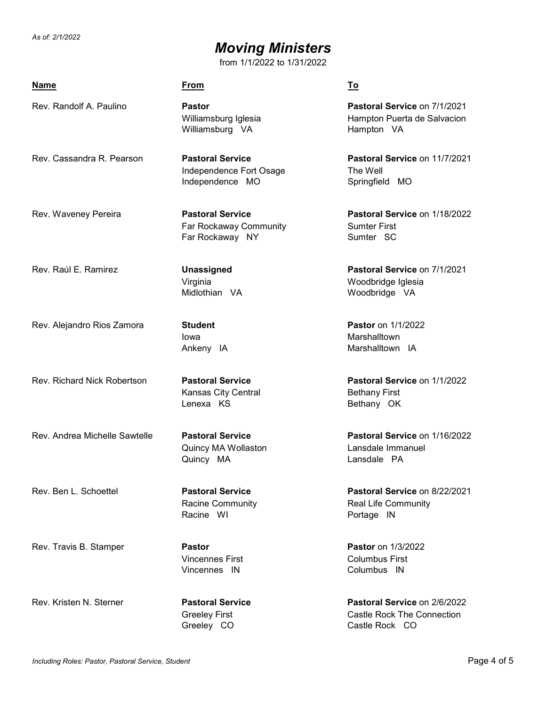# *Moving Ministers*

| <b>Name</b>                   | <u>From</u>                                                           | To                                                                           |
|-------------------------------|-----------------------------------------------------------------------|------------------------------------------------------------------------------|
| Rev. Randolf A. Paulino       | <b>Pastor</b><br>Williamsburg Iglesia<br>Williamsburg VA              | Pastoral Service on 7/1/2021<br>Hampton Puerta de Salvacion<br>Hampton VA    |
| Rev. Cassandra R. Pearson     | <b>Pastoral Service</b><br>Independence Fort Osage<br>Independence MO | Pastoral Service on 11/7/2021<br>The Well<br>Springfield MO                  |
| Rev. Waveney Pereira          | <b>Pastoral Service</b><br>Far Rockaway Community<br>Far Rockaway NY  | Pastoral Service on 1/18/2022<br><b>Sumter First</b><br>Sumter SC            |
| Rev. Raúl E. Ramirez          | <b>Unassigned</b><br>Virginia<br>Midlothian VA                        | Pastoral Service on 7/1/2021<br>Woodbridge Iglesia<br>Woodbridge VA          |
| Rev. Alejandro Rios Zamora    | <b>Student</b><br>lowa<br>Ankeny IA                                   | <b>Pastor</b> on 1/1/2022<br>Marshalltown<br>Marshalltown IA                 |
| Rev. Richard Nick Robertson   | <b>Pastoral Service</b><br>Kansas City Central<br>Lenexa KS           | <b>Pastoral Service on 1/1/2022</b><br><b>Bethany First</b><br>Bethany OK    |
| Rev. Andrea Michelle Sawtelle | <b>Pastoral Service</b><br>Quincy MA Wollaston<br>Quincy MA           | Pastoral Service on 1/16/2022<br>Lansdale Immanuel<br>Lansdale PA            |
| Rev. Ben L. Schoettel         | <b>Pastoral Service</b><br><b>Racine Community</b><br>Racine WI       | Pastoral Service on 8/22/2021<br><b>Real Life Community</b><br>Portage IN    |
| Rev. Travis B. Stamper        | <b>Pastor</b><br><b>Vincennes First</b><br>Vincennes IN               | <b>Pastor</b> on 1/3/2022<br><b>Columbus First</b><br>Columbus IN            |
| Rev. Kristen N. Sterner       | <b>Pastoral Service</b><br><b>Greeley First</b><br>Greeley CO         | Pastoral Service on 2/6/2022<br>Castle Rock The Connection<br>Castle Rock CO |